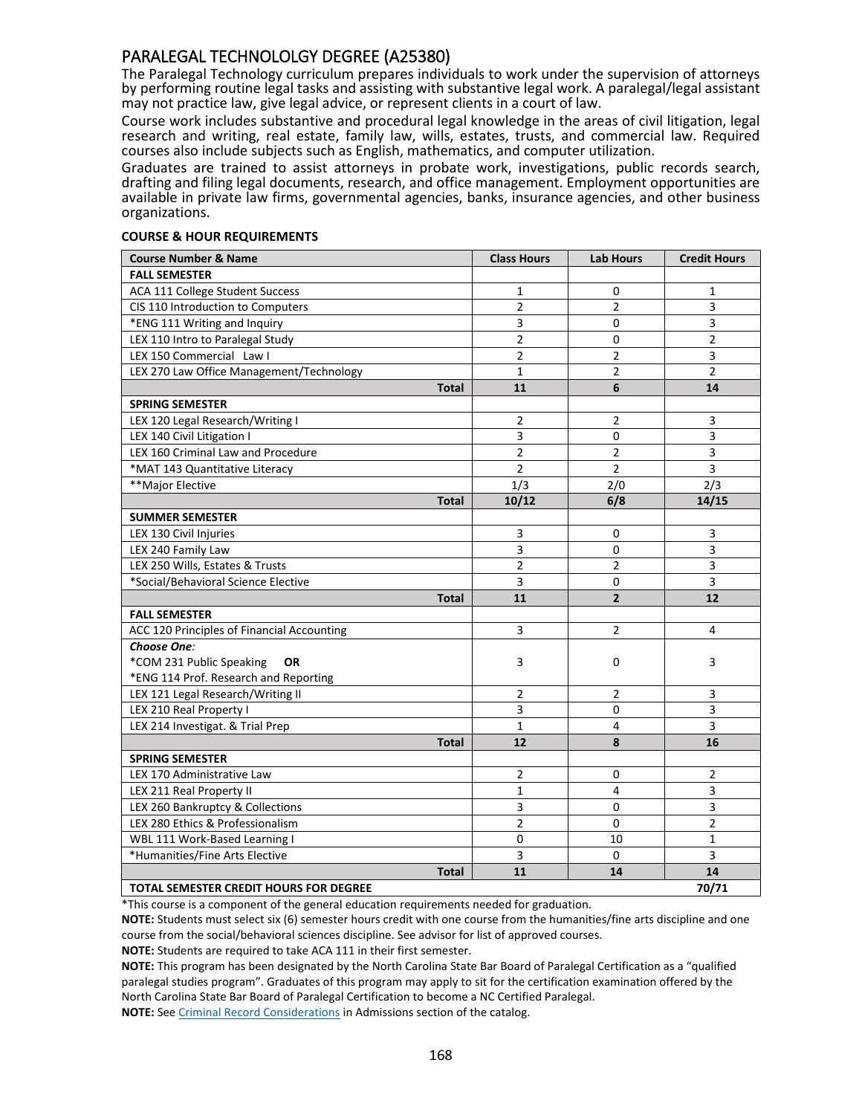# PARALEGAL TECHNOLOLGY DEGREE (A25380)

The Paralegal Technology curriculum prepares individuals to work under the supervision of attorneys by performing routine legal tasks and assisting with substantive legal work. A paralegal/legal assistant may not practice law, give legal advice, or represent clients in a court of law.

Course work includes substantive and procedural legal knowledge in the areas of civil litigation, legal research and writing, real estate, family law, wills, estates, trusts, and commercial law. Required courses also include subjects such as English, mathematics, and computer utilization.

Graduates are trained to assist attorneys in probate work, investigations, public records search, drafting and filing legal documents, research, and office management. Employment opportunities are available in private law firms, governmental agencies, banks, insurance agencies, and other business organizations.

#### **COURSE & HOUR REQUIREMENTS**

| <b>Course Number &amp; Name</b>               | <b>Class Hours</b> | <b>Lab Hours</b> | <b>Credit Hours</b> |
|-----------------------------------------------|--------------------|------------------|---------------------|
| <b>FALL SEMESTER</b>                          |                    |                  |                     |
| ACA 111 College Student Success               | $\mathbf{1}$       | 0                | $\mathbf{1}$        |
| CIS 110 Introduction to Computers             | $\overline{2}$     | $\overline{2}$   | 3                   |
| *ENG 111 Writing and Inquiry                  | 3                  | 0                | 3                   |
| LEX 110 Intro to Paralegal Study              | $\overline{2}$     | 0                | $\overline{2}$      |
| LEX 150 Commercial Law I                      | $\overline{2}$     | $\overline{2}$   | 3                   |
| LEX 270 Law Office Management/Technology      | $\mathbf{1}$       | $\overline{2}$   | $\overline{2}$      |
| <b>Total</b>                                  | 11                 | 6                | 14                  |
| <b>SPRING SEMESTER</b>                        |                    |                  |                     |
| LEX 120 Legal Research/Writing I              | $\overline{2}$     | 2                | 3                   |
| LEX 140 Civil Litigation I                    | 3                  | 0                | 3                   |
| LEX 160 Criminal Law and Procedure            | $\overline{2}$     | $\overline{2}$   | $\overline{3}$      |
| *MAT 143 Quantitative Literacy                | $\overline{2}$     | $\overline{2}$   | 3                   |
| **Major Elective                              | 1/3                | 2/0              | 2/3                 |
| <b>Total</b>                                  | 10/12              | 6/8              | 14/15               |
| <b>SUMMER SEMESTER</b>                        |                    |                  |                     |
| LEX 130 Civil Injuries                        | 3                  | 0                | 3                   |
| LEX 240 Family Law                            | 3                  | 0                | 3                   |
| LEX 250 Wills, Estates & Trusts               | 2                  | $\overline{2}$   | 3                   |
| *Social/Behavioral Science Elective           | 3                  | 0                | 3                   |
| <b>Total</b>                                  | 11                 | $\overline{2}$   | 12                  |
| <b>FALL SEMESTER</b>                          |                    |                  |                     |
| ACC 120 Principles of Financial Accounting    | $\overline{3}$     | $\overline{2}$   | 4                   |
| Choose One:                                   |                    |                  |                     |
| *COM 231 Public Speaking<br><b>OR</b>         | 3                  | 0                | 3                   |
| *ENG 114 Prof. Research and Reporting         |                    |                  |                     |
| LEX 121 Legal Research/Writing II             | $\overline{2}$     | 2                | 3                   |
| LEX 210 Real Property I                       | 3                  | 0                | 3                   |
| LEX 214 Investigat. & Trial Prep              | $\mathbf{1}$       | 4                | 3                   |
| <b>Total</b>                                  | 12                 | 8                | 16                  |
| <b>SPRING SEMESTER</b>                        |                    |                  |                     |
| LEX 170 Administrative Law                    | $\overline{2}$     | 0                | $\overline{2}$      |
| LEX 211 Real Property II                      | $\mathbf{1}$       | 4                | 3                   |
| LEX 260 Bankruptcy & Collections              | 3                  | 0                | 3                   |
| LEX 280 Ethics & Professionalism              | $\overline{2}$     | 0                | $\overline{2}$      |
| WBL 111 Work-Based Learning I                 | 0                  | 10               | $\mathbf{1}$        |
| *Humanities/Fine Arts Elective                | 3                  | 0                | 3                   |
| <b>Total</b>                                  | 11                 | 14               | 14                  |
| <b>TOTAL SEMESTER CREDIT HOURS FOR DEGREE</b> |                    |                  | 70/71               |

\*This course is a component of the general education requirements needed for graduation.

**NOTE:** Students must select six (6) semester hours credit with one course from the humanities/fine arts discipline and one course from the social/behavioral sciences discipline. See advisor for list of approved courses.

**NOTE:** Students are required to take ACA 111 in their first semester.

**NOTE:** This program has been designated by the North Carolina State Bar Board of Paralegal Certification as a "qualified paralegal studies program". Graduates of this program may apply to sit for the certification examination offered by the North Carolina State Bar Board of Paralegal Certification to become a NC Certified Paralegal.

**NOTE:** See Criminal Record Considerations in Admissions section of the catalog.